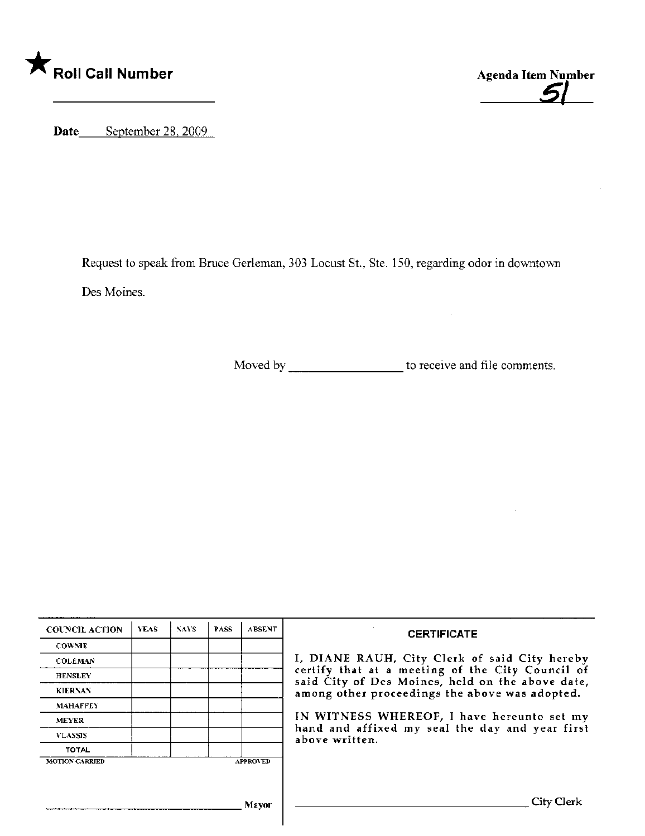



Date September 28, 2009

Request to speak from Bruce Gerleman, 303 Locust St., Ste. 150, regarding odor in downtown Des Moines.

Moved by \_\_\_\_\_\_\_\_\_\_\_\_\_\_\_\_\_\_\_\_\_\_\_\_ to receive and file comments.

 $\mathcal{A}$ 

 $\hat{\boldsymbol{\beta}}$ 

| <b>COUNCIL ACTION</b>                    | <b>YEAS</b> | <b>NAYS</b> | <b>PASS</b> | <b>ABSENT</b> | <b>CERTIFICATE</b>                                                                                                                                                                                                                                                                                                         |
|------------------------------------------|-------------|-------------|-------------|---------------|----------------------------------------------------------------------------------------------------------------------------------------------------------------------------------------------------------------------------------------------------------------------------------------------------------------------------|
| <b>COWNIE</b>                            |             |             |             |               | I, DIANE RAUH, City Clerk of said City hereby<br>certify that at a meeting of the City Council of<br>said City of Des Moines, held on the above date,<br>among other proceedings the above was adopted.<br>IN WITNESS WHEREOF, I have hereunto set my<br>hand and affixed my seal the day and year first<br>above written. |
| <b>COLEMAN</b>                           |             |             |             |               |                                                                                                                                                                                                                                                                                                                            |
| <b>HENSLEY</b>                           |             |             |             |               |                                                                                                                                                                                                                                                                                                                            |
| <b>KIERNAN</b>                           |             |             |             |               |                                                                                                                                                                                                                                                                                                                            |
| <b>MAHAFFEY</b>                          |             |             |             |               |                                                                                                                                                                                                                                                                                                                            |
| <b>MEYER</b>                             |             |             |             |               |                                                                                                                                                                                                                                                                                                                            |
| <b>VLASSIS</b>                           |             |             |             |               |                                                                                                                                                                                                                                                                                                                            |
| TOTAL                                    |             |             |             |               |                                                                                                                                                                                                                                                                                                                            |
| <b>MOTION CARRIED</b><br><b>APPROVED</b> |             |             |             |               |                                                                                                                                                                                                                                                                                                                            |
|                                          |             |             |             |               |                                                                                                                                                                                                                                                                                                                            |
|                                          |             |             |             | Mayor         | City Clerk                                                                                                                                                                                                                                                                                                                 |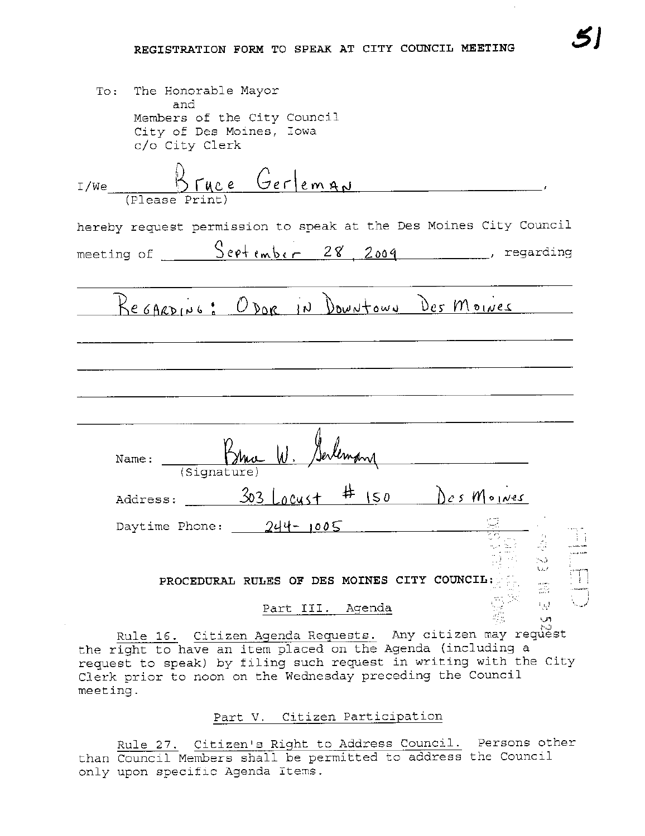To: The Honorable Mayor and Members of the City Council City of Des Moines, Iowa c/o City Clerk Thee Gerleman  $I/We$ (Please Print) hereby request permission to speak at the Des Moines City Council ResARDING: ODOR IN DOWNtown Des Moines Name: (Signature)  $#$   $|50|$  $\text{Address:}$   $\frac{303}{10045}$  $\Delta e$ s Moines Daytime Phone:  $244 - 1005$ PROCEDURAL RULES OF DES MOINES CITY COUNCIL: أأبيارا Part III. Agenda k. Rule 16. Citizen Agenda Requests. Any citizen may request the right to have an item placed on the Agenda (including a request to speak) by filing such request in writing with the City Clerk prior to noon on the Wednesday preceding the Council

#### Part V. Citizen Participation

meeting.

Rule 27. Citizen's Right to Address Council. Persons other than Council Members shall be permitted to address the Council only upon specific Agenda Items.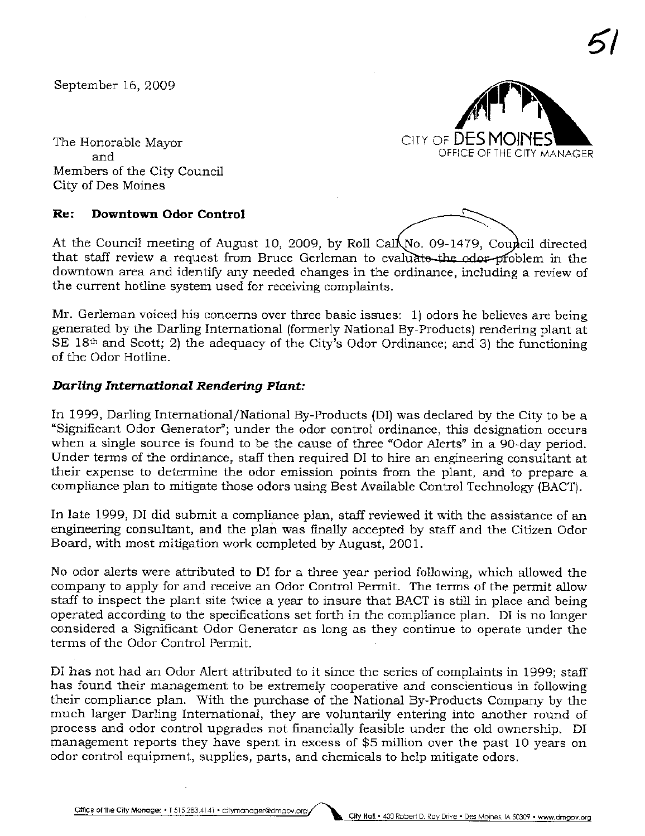September 16, 2009



The Honorable Mayor and Members of the City Council City of Des Moines

## Re: Downtown Odor Control

At the Council meeting of August 10, 2009, by Roll Cal No, 09-1479, Council directed that staff review a request from Bruce Gerleman to evaluate the odor-problem in the downtown area and identify any needed changes in the ordinance, including a review of the current hotline system used for receiving complaits.

Mr. Gerleman voiced his concerns over three basic issues: 1) odors he believes are being generated by the Darling International (formerly National By-Products) rendering plant at  $SE$  18<sup>th</sup> and Scott; 2) the adequacy of the City's Odor Ordinance; and 3) the functioning of the Odor Hotline.

## Darling International Rendering Plant:

In 1999, Darling International/National By-Products (DI) was declared by the City to be a "Significant Odor Generator"; under the odor control ordinance, this designation occurs when a single source is found to be the cause of three "Odor Alerts" in a 90-day period. Under terms of the ordinance, staff then required DI to hire an engineering consultant at their expense to determine the odor emission points from the plant, and to prepare a compliance plan to mitigate those odors using Best Available Control Technology (BACT).

In late 1999, DI did submit a compliance plan, staff reviewed it with the assistance of an engineering consultant, and the plan was finally accepted by staff and the Citizen Odor Board, with most mitigation work completed by August, 2001.

No odor alerts were attributed to DI for a three year period followig, which allowed the company to apply for and receive an Odor Control Permit. The terms of the permit allow staff to inspect the plant site twce a year to insure that BACT is still in place and being operated according to the specifications set forth in the compliance plan. DI is no longer considered a Significant Odor Generator as long as they continue to operate under the terms of the Odor Control Permit.

DI has not had an Odor Alert attributed to it since the series of complaints in i 999; staff has found their management to be extremely cooperative and conscientious in following their compliance plan. With the purchase of the National By-Products Company by the much larger Darling International, they are voluntarily entering into another round of process and odor control upgrades not financially feasible under the old ownership. DI management reports they have spent in excess of \$5 million over the past 10 years on odor control equipment, supplies, parts, and chemicals to help mitigate odors.